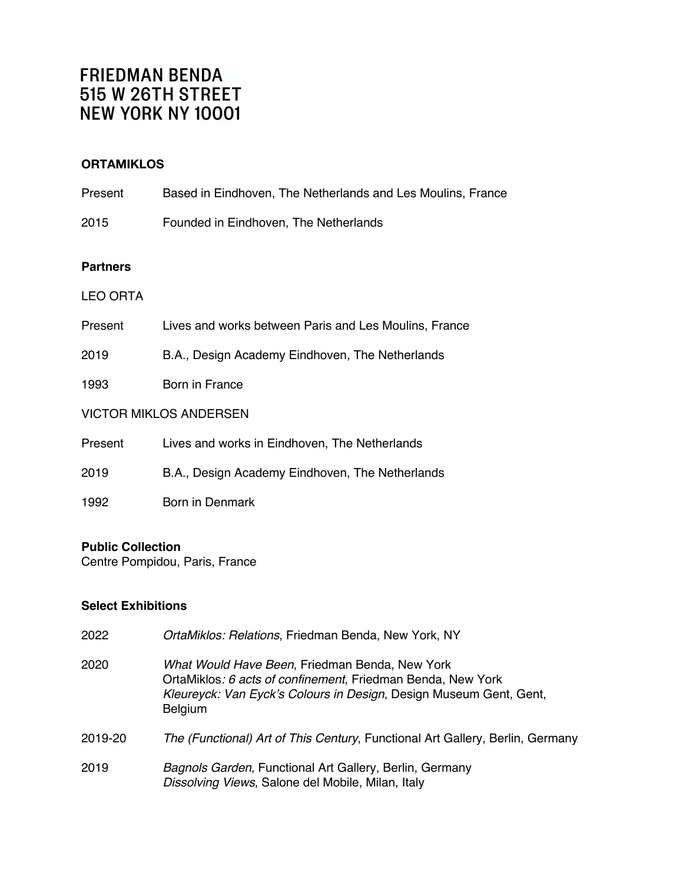# **ORTAMIKLOS**

2015 Founded in Eindhoven, The Netherlands

## **Partners**

## LEO ORTA

- Present Lives and works between Paris and Les Moulins, France
- 2019 B.A., Design Academy Eindhoven, The Netherlands
- 1993 Born in France

## VICTOR MIKLOS ANDERSEN

- Present Lives and works in Eindhoven, The Netherlands
- 2019 B.A., Design Academy Eindhoven, The Netherlands
- 1992 Born in Denmark

## **Public Collection**

Centre Pompidou, Paris, France

## **Select Exhibitions**

| 2022    | OrtaMiklos: Relations, Friedman Benda, New York, NY                                                                                                                                                   |
|---------|-------------------------------------------------------------------------------------------------------------------------------------------------------------------------------------------------------|
| 2020    | What Would Have Been, Friedman Benda, New York<br>OrtaMiklos: 6 acts of confinement, Friedman Benda, New York<br>Kleureyck: Van Eyck's Colours in Design, Design Museum Gent, Gent,<br><b>Belgium</b> |
| 2019-20 | The (Functional) Art of This Century, Functional Art Gallery, Berlin, Germany                                                                                                                         |
| 2019    | Bagnols Garden, Functional Art Gallery, Berlin, Germany<br>Dissolving Views, Salone del Mobile, Milan, Italy                                                                                          |